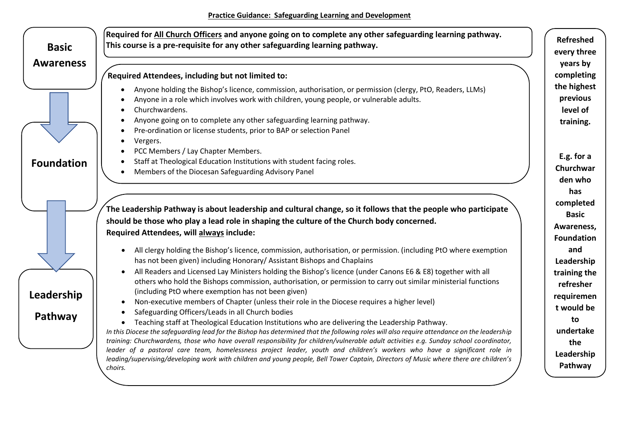